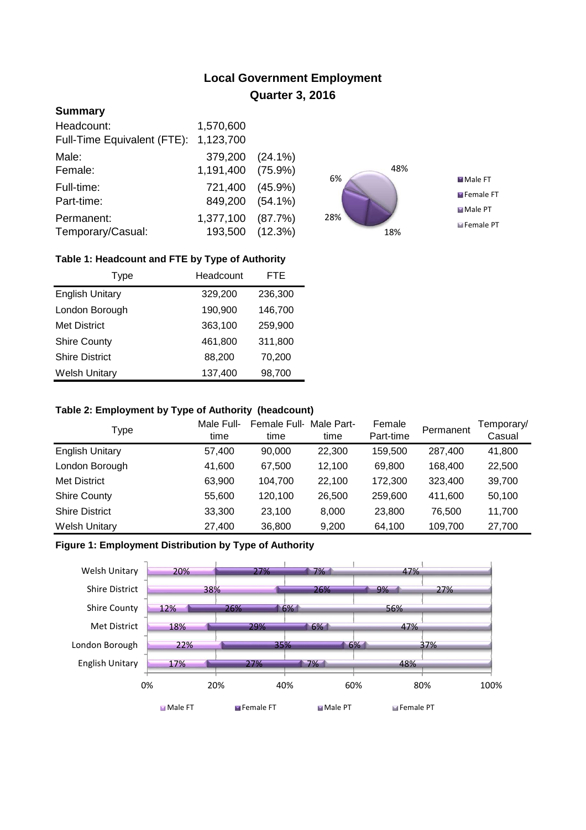# **Local Government Employment Quarter 3, 2016**

# **Summary**

| Headcount:                  | 1,570,600         |         |
|-----------------------------|-------------------|---------|
| Full-Time Equivalent (FTE): | 1,123,700         |         |
| Male:                       | 379,200 (24.1%)   |         |
| Female:                     | 1,191,400 (75.9%) |         |
| Full-time:                  | 721,400 (45.9%)   |         |
| Part-time:                  | 849,200 (54.1%)   |         |
| Permanent:                  | 1,377,100         | (87.7%) |
| Temporary/Casual:           | 193,500 (12.3%)   |         |



## **Table 1: Headcount and FTE by Type of Authority**

| Type                   | Headcount | <b>FTE</b> |
|------------------------|-----------|------------|
| <b>English Unitary</b> | 329,200   | 236,300    |
| London Borough         | 190,900   | 146,700    |
| <b>Met District</b>    | 363,100   | 259,900    |
| <b>Shire County</b>    | 461,800   | 311,800    |
| <b>Shire District</b>  | 88,200    | 70,200     |
| <b>Welsh Unitary</b>   | 137,400   | 98,700     |

#### **Table 2: Employment by Type of Authority (headcount)**

| Type                   | Male Full-<br>time | Female Full-<br>time | Male Part-<br>time | Female<br>Part-time | Permanent | Temporary/<br>Casual |
|------------------------|--------------------|----------------------|--------------------|---------------------|-----------|----------------------|
| <b>English Unitary</b> | 57,400             | 90,000               | 22,300             | 159,500             | 287,400   | 41,800               |
| London Borough         | 41,600             | 67.500               | 12.100             | 69.800              | 168.400   | 22,500               |
| Met District           | 63,900             | 104,700              | 22,100             | 172,300             | 323,400   | 39,700               |
| <b>Shire County</b>    | 55,600             | 120,100              | 26,500             | 259,600             | 411.600   | 50,100               |
| <b>Shire District</b>  | 33,300             | 23.100               | 8,000              | 23,800              | 76.500    | 11,700               |
| <b>Welsh Unitary</b>   | 27,400             | 36,800               | 9,200              | 64,100              | 109,700   | 27,700               |

## **Figure 1: Employment Distribution by Type of Authority**